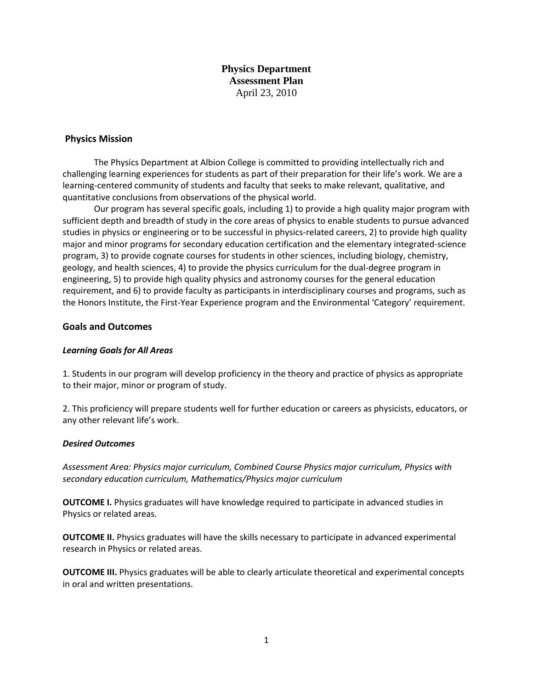**Physics Department Assessment Plan** April 23, 2010

## **Physics Mission**

The Physics Department at Albion College is committed to providing intellectually rich and challenging learning experiences for students as part of their preparation for their life's work. We are a learning-centered community of students and faculty that seeks to make relevant, qualitative, and quantitative conclusions from observations of the physical world.

Our program has several specific goals, including 1) to provide a high quality major program with sufficient depth and breadth of study in the core areas of physics to enable students to pursue advanced studies in physics or engineering or to be successful in physics-related careers, 2) to provide high quality major and minor programs for secondary education certification and the elementary integrated-science program, 3) to provide cognate courses for students in other sciences, including biology, chemistry, geology, and health sciences, 4) to provide the physics curriculum for the dual-degree program in engineering, 5) to provide high quality physics and astronomy courses for the general education requirement, and 6) to provide faculty as participants in interdisciplinary courses and programs, such as the Honors Institute, the First-Year Experience program and the Environmental 'Category' requirement.

## **Goals and Outcomes**

#### *Learning Goals for All Areas*

1. Students in our program will develop proficiency in the theory and practice of physics as appropriate to their major, minor or program of study.

2. This proficiency will prepare students well for further education or careers as physicists, educators, or any other relevant life's work.

#### *Desired Outcomes*

*Assessment Area: Physics major curriculum, Combined Course Physics major curriculum, Physics with secondary education curriculum, Mathematics/Physics major curriculum* 

**OUTCOME I.** Physics graduates will have knowledge required to participate in advanced studies in Physics or related areas.

**OUTCOME II.** Physics graduates will have the skills necessary to participate in advanced experimental research in Physics or related areas.

**OUTCOME III.** Physics graduates will be able to clearly articulate theoretical and experimental concepts in oral and written presentations.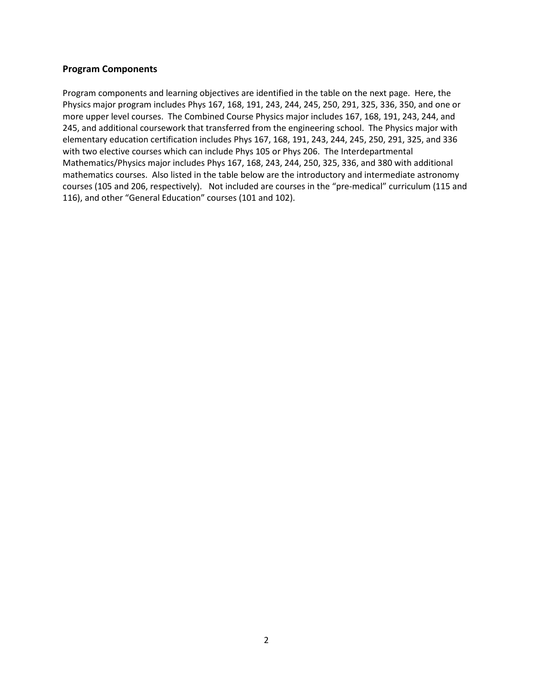# **Program Components**

Program components and learning objectives are identified in the table on the next page. Here, the Physics major program includes Phys 167, 168, 191, 243, 244, 245, 250, 291, 325, 336, 350, and one or more upper level courses. The Combined Course Physics major includes 167, 168, 191, 243, 244, and 245, and additional coursework that transferred from the engineering school. The Physics major with elementary education certification includes Phys 167, 168, 191, 243, 244, 245, 250, 291, 325, and 336 with two elective courses which can include Phys 105 or Phys 206. The Interdepartmental Mathematics/Physics major includes Phys 167, 168, 243, 244, 250, 325, 336, and 380 with additional mathematics courses. Also listed in the table below are the introductory and intermediate astronomy courses (105 and 206, respectively). Not included are courses in the "pre-medical" curriculum (115 and 116), and other "General Education" courses (101 and 102).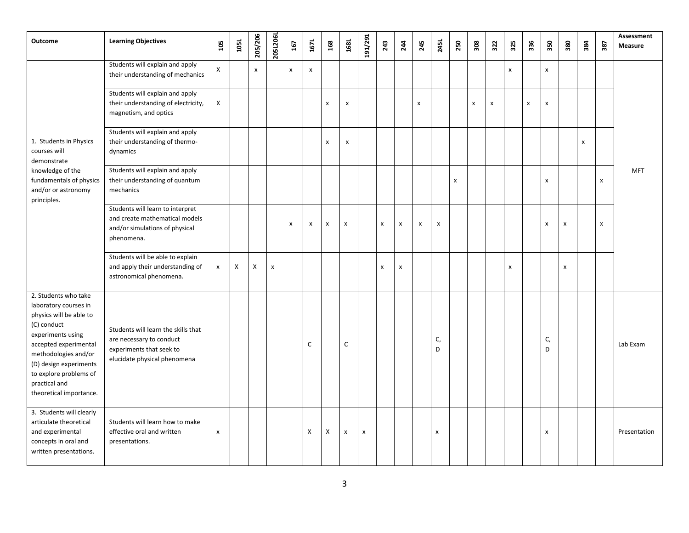| <b>Outcome</b>                                                                                                                                                                                                                                                | <b>Learning Objectives</b>                                                                                                  | 105                | 105L | 205/206 | 205L206L           | 167                | 167L                      | 168                       | 168L                      | 191/291        | 243            | 244 | 245            | 245L                      | 250 | 308          | 322 | 325            | 336                | 350            | 380 | 384 | 387            | Assessment<br>Measure |
|---------------------------------------------------------------------------------------------------------------------------------------------------------------------------------------------------------------------------------------------------------------|-----------------------------------------------------------------------------------------------------------------------------|--------------------|------|---------|--------------------|--------------------|---------------------------|---------------------------|---------------------------|----------------|----------------|-----|----------------|---------------------------|-----|--------------|-----|----------------|--------------------|----------------|-----|-----|----------------|-----------------------|
| 1. Students in Physics<br>courses will<br>demonstrate<br>knowledge of the<br>fundamentals of physics<br>and/or or astronomy<br>principles.                                                                                                                    | Students will explain and apply<br>their understanding of mechanics                                                         | $\mathsf{x}$       |      | x       |                    | $\pmb{\times}$     | $\boldsymbol{\mathsf{x}}$ |                           |                           |                |                |     |                |                           |     |              |     | x              |                    | $\pmb{\chi}$   |     |     |                | <b>MFT</b>            |
|                                                                                                                                                                                                                                                               | Students will explain and apply<br>their understanding of electricity,<br>magnetism, and optics                             | X                  |      |         |                    |                    |                           | $\boldsymbol{\mathsf{x}}$ | $\boldsymbol{\mathsf{x}}$ |                |                |     | $\pmb{\times}$ |                           |     | $\pmb{\chi}$ | x   |                | $\pmb{\mathsf{x}}$ | $\pmb{\chi}$   |     |     |                |                       |
|                                                                                                                                                                                                                                                               | Students will explain and apply<br>their understanding of thermo-<br>dynamics                                               |                    |      |         |                    |                    |                           | $\boldsymbol{\mathsf{x}}$ | $\pmb{\chi}$              |                |                |     |                |                           |     |              |     |                |                    |                |     | x   |                |                       |
|                                                                                                                                                                                                                                                               | Students will explain and apply<br>their understanding of quantum<br>mechanics                                              |                    |      |         |                    |                    |                           |                           |                           |                |                |     |                |                           | x   |              |     |                |                    | $\pmb{\times}$ |     |     | X              |                       |
|                                                                                                                                                                                                                                                               | Students will learn to interpret<br>and create mathematical models<br>and/or simulations of physical<br>phenomena.          |                    |      |         |                    | $\pmb{\mathsf{x}}$ | X                         | X                         | $\pmb{\mathsf{x}}$        |                | X              | X   | $\pmb{\times}$ | $\boldsymbol{\mathsf{x}}$ |     |              |     |                |                    | $\pmb{\times}$ | X   |     | $\pmb{\times}$ |                       |
|                                                                                                                                                                                                                                                               | Students will be able to explain<br>and apply their understanding of<br>astronomical phenomena.                             | x                  | X    | X       | $\pmb{\mathsf{x}}$ |                    |                           |                           |                           |                | $\pmb{\times}$ | x   |                |                           |     |              |     | $\pmb{\times}$ |                    |                | x   |     |                |                       |
| 2. Students who take<br>laboratory courses in<br>physics will be able to<br>(C) conduct<br>experiments using<br>accepted experimental<br>methodologies and/or<br>(D) design experiments<br>to explore problems of<br>practical and<br>theoretical importance. | Students will learn the skills that<br>are necessary to conduct<br>experiments that seek to<br>elucidate physical phenomena |                    |      |         |                    |                    | C                         |                           | $\mathsf C$               |                |                |     |                | C,<br>D                   |     |              |     |                |                    | C,<br>D        |     |     |                | Lab Exam              |
| 3. Students will clearly<br>articulate theoretical<br>and experimental<br>concepts in oral and<br>written presentations.                                                                                                                                      | Students will learn how to make<br>effective oral and written<br>presentations.                                             | $\pmb{\mathsf{x}}$ |      |         |                    |                    | X                         | X                         | $\pmb{\mathsf{x}}$        | $\pmb{\times}$ |                |     |                | X                         |     |              |     |                |                    | $\pmb{\times}$ |     |     |                | Presentation          |